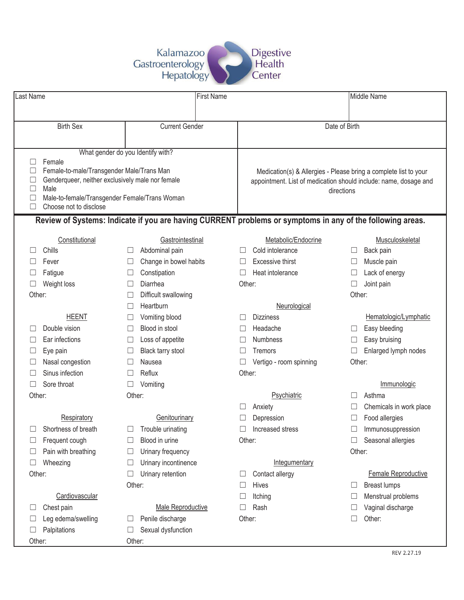

| Last Name |                                                          |                      | <b>First Name</b>      |  | Middle Name                                                      |                                                                                                           |               |                         |  |  |  |  |
|-----------|----------------------------------------------------------|----------------------|------------------------|--|------------------------------------------------------------------|-----------------------------------------------------------------------------------------------------------|---------------|-------------------------|--|--|--|--|
|           |                                                          |                      |                        |  |                                                                  |                                                                                                           |               |                         |  |  |  |  |
|           | <b>Birth Sex</b>                                         |                      | <b>Current Gender</b>  |  |                                                                  |                                                                                                           | Date of Birth |                         |  |  |  |  |
|           |                                                          |                      |                        |  |                                                                  |                                                                                                           |               |                         |  |  |  |  |
|           | What gender do you Identify with?                        |                      |                        |  |                                                                  |                                                                                                           |               |                         |  |  |  |  |
|           | Female                                                   |                      |                        |  |                                                                  |                                                                                                           |               |                         |  |  |  |  |
|           | Female-to-male/Transgender Male/Trans Man                |                      |                        |  | Medication(s) & Allergies - Please bring a complete list to your |                                                                                                           |               |                         |  |  |  |  |
|           | Genderqueer, neither exclusively male nor female<br>Male |                      |                        |  | appointment. List of medication should include: name, dosage and |                                                                                                           |               |                         |  |  |  |  |
|           | Male-to-female/Transgender Female/Trans Woman            |                      |                        |  | directions                                                       |                                                                                                           |               |                         |  |  |  |  |
|           | Choose not to disclose                                   |                      |                        |  |                                                                  |                                                                                                           |               |                         |  |  |  |  |
|           |                                                          |                      |                        |  |                                                                  | Review of Systems: Indicate if you are having CURRENT problems or symptoms in any of the following areas. |               |                         |  |  |  |  |
|           | Constitutional                                           |                      | Gastrointestinal       |  |                                                                  | Metabolic/Endocrine                                                                                       |               | Musculoskeletal         |  |  |  |  |
|           | Chills                                                   |                      | Abdominal pain         |  |                                                                  | Cold intolerance                                                                                          | ⊔             | Back pain               |  |  |  |  |
|           | Fever                                                    | $\Box$               | Change in bowel habits |  |                                                                  | <b>Excessive thirst</b>                                                                                   | ⊔             | Muscle pain             |  |  |  |  |
|           | Fatigue                                                  | ⊔                    | Constipation           |  |                                                                  | Heat intolerance                                                                                          |               | Lack of energy          |  |  |  |  |
|           | Weight loss                                              |                      | Diarrhea               |  | Other:                                                           |                                                                                                           |               | Joint pain              |  |  |  |  |
| Other:    |                                                          | Difficult swallowing |                        |  |                                                                  |                                                                                                           | Other:        |                         |  |  |  |  |
|           |                                                          |                      | Heartburn              |  |                                                                  | Neurological                                                                                              |               |                         |  |  |  |  |
|           | <b>HEENT</b>                                             | Ш                    | Vomiting blood         |  |                                                                  | <b>Dizziness</b>                                                                                          |               | Hematologic/Lymphatic   |  |  |  |  |
|           | Double vision                                            |                      | Blood in stool         |  |                                                                  | Headache                                                                                                  |               | Easy bleeding           |  |  |  |  |
|           | Ear infections                                           | ⊔                    | Loss of appetite       |  |                                                                  | Numbness                                                                                                  |               | Easy bruising           |  |  |  |  |
|           | Eye pain                                                 |                      | Black tarry stool      |  |                                                                  | Tremors                                                                                                   |               | Enlarged lymph nodes    |  |  |  |  |
|           | Nasal congestion                                         |                      | Nausea                 |  |                                                                  | Vertigo - room spinning                                                                                   | Other:        |                         |  |  |  |  |
|           | Sinus infection                                          |                      | Reflux                 |  | Other:                                                           |                                                                                                           |               |                         |  |  |  |  |
|           | Sore throat                                              |                      | Vomiting               |  |                                                                  |                                                                                                           |               | Immunologic             |  |  |  |  |
| Other:    |                                                          | Other:               |                        |  |                                                                  | Psychiatric                                                                                               | П             | Asthma                  |  |  |  |  |
|           |                                                          |                      |                        |  |                                                                  | Anxiety                                                                                                   |               | Chemicals in work place |  |  |  |  |
|           | Respiratory                                              |                      | Genitourinary          |  |                                                                  | Depression                                                                                                |               | Food allergies          |  |  |  |  |
|           | Shortness of breath                                      |                      | Trouble urinating      |  |                                                                  | Increased stress                                                                                          |               | Immunosuppression       |  |  |  |  |
|           | Frequent cough                                           |                      | Blood in urine         |  | Other:                                                           |                                                                                                           |               | Seasonal allergies      |  |  |  |  |
|           | Pain with breathing                                      |                      | Urinary frequency      |  |                                                                  |                                                                                                           | Other:        |                         |  |  |  |  |
|           | Wheezing                                                 | $\Box$               | Urinary incontinence   |  |                                                                  | Integumentary                                                                                             |               |                         |  |  |  |  |
| Other:    |                                                          |                      | Urinary retention      |  |                                                                  | Contact allergy                                                                                           |               | Female Reproductive     |  |  |  |  |
|           |                                                          | Other:               |                        |  |                                                                  | Hives                                                                                                     | ⊔             | <b>Breast lumps</b>     |  |  |  |  |
|           | Cardiovascular                                           |                      |                        |  |                                                                  | Itching                                                                                                   |               | Menstrual problems      |  |  |  |  |
|           | Chest pain                                               |                      | Male Reproductive      |  |                                                                  | Rash                                                                                                      | $\Box$        | Vaginal discharge       |  |  |  |  |
|           | Leg edema/swelling                                       |                      | Penile discharge       |  | Other:                                                           |                                                                                                           |               | Other:                  |  |  |  |  |
|           | Palpitations                                             |                      | Sexual dysfunction     |  |                                                                  |                                                                                                           |               |                         |  |  |  |  |
| Other:    |                                                          | Other:               |                        |  |                                                                  |                                                                                                           |               |                         |  |  |  |  |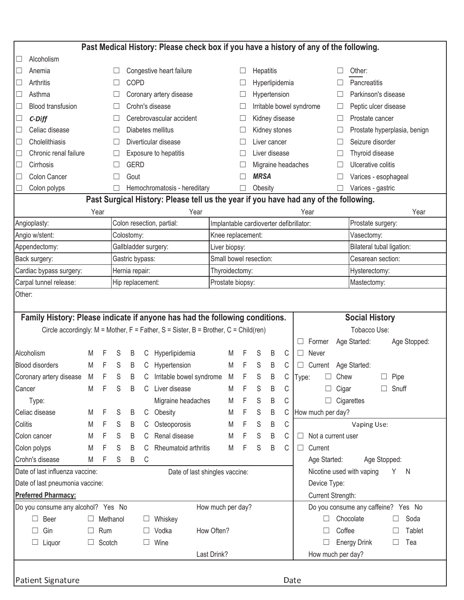|                                                                                                                                                                                   | Past Medical History: Please check box if you have a history of any of the following. |        |                                    |                     |    |                                       |                   |   |                   |                          |   |                             |                                                                                      |
|-----------------------------------------------------------------------------------------------------------------------------------------------------------------------------------|---------------------------------------------------------------------------------------|--------|------------------------------------|---------------------|----|---------------------------------------|-------------------|---|-------------------|--------------------------|---|-----------------------------|--------------------------------------------------------------------------------------|
| Alcoholism                                                                                                                                                                        |                                                                                       |        |                                    |                     |    |                                       |                   |   |                   |                          |   |                             |                                                                                      |
| Anemia<br>$\Box$                                                                                                                                                                  |                                                                                       |        |                                    |                     |    | Congestive heart failure              |                   |   |                   | Hepatitis                |   |                             | Other:                                                                               |
| Arthritis<br>$\Box$                                                                                                                                                               |                                                                                       |        | <b>COPD</b>                        |                     |    |                                       |                   |   | Hyperlipidemia    |                          |   | Pancreatitis                |                                                                                      |
| Asthma<br>$\Box$                                                                                                                                                                  |                                                                                       |        | Coronary artery disease            |                     |    |                                       |                   |   | Hypertension      |                          |   | Parkinson's disease         |                                                                                      |
| <b>Blood transfusion</b>                                                                                                                                                          |                                                                                       |        | $\Box$                             |                     |    | Crohn's disease                       |                   |   |                   | Irritable bowel syndrome |   |                             | Peptic ulcer disease<br>⊔                                                            |
| $\Box$<br>$C$ -Diff                                                                                                                                                               |                                                                                       |        |                                    |                     |    | Cerebrovascular accident              |                   |   |                   | Kidney disease           |   |                             | Prostate cancer<br>ш                                                                 |
| Celiac disease<br>$\Box$                                                                                                                                                          |                                                                                       |        | Ш                                  |                     |    | Diabetes mellitus                     |                   |   |                   | Kidney stones            |   |                             | Prostate hyperplasia, benign<br>⊔                                                    |
| Cholelithiasis<br>$\Box$                                                                                                                                                          |                                                                                       |        | Diverticular disease<br>$\Box$     |                     |    |                                       |                   |   | Liver cancer      |                          |   | Seizure disorder<br>$\perp$ |                                                                                      |
| Chronic renal failure<br>$\Box$                                                                                                                                                   |                                                                                       |        |                                    |                     |    | Exposure to hepatitis                 |                   |   |                   | Liver disease            |   |                             | Thyroid disease<br>Ш                                                                 |
| Cirrhosis<br>$\Box$                                                                                                                                                               |                                                                                       |        |                                    | <b>GERD</b>         |    |                                       |                   |   |                   |                          |   |                             | Ulcerative colitis<br>Migraine headaches<br>П                                        |
| Colon Cancer<br>$\Box$                                                                                                                                                            |                                                                                       |        | □                                  | Gout                |    |                                       |                   |   |                   | <b>MRSA</b>              |   |                             | Varices - esophageal                                                                 |
| Colon polyps                                                                                                                                                                      |                                                                                       |        | П                                  |                     |    | Hemochromatosis - hereditary          |                   |   |                   | Obesity                  |   |                             | Varices - gastric                                                                    |
|                                                                                                                                                                                   |                                                                                       |        |                                    |                     |    |                                       |                   |   |                   |                          |   |                             | Past Surgical History: Please tell us the year if you have had any of the following. |
|                                                                                                                                                                                   |                                                                                       | Year   |                                    |                     |    | Year                                  |                   |   |                   |                          |   |                             | Year<br>Year                                                                         |
| Angioplasty:                                                                                                                                                                      |                                                                                       |        |                                    |                     |    | Colon resection, partial:             |                   |   |                   |                          |   |                             | Implantable cardioverter defibrillator:<br>Prostate surgery:                         |
| Angio w/stent:                                                                                                                                                                    |                                                                                       |        |                                    | Colostomy:          |    |                                       | Knee replacement: |   |                   |                          |   |                             | Vasectomy:                                                                           |
| Appendectomy:                                                                                                                                                                     |                                                                                       |        |                                    |                     |    | Gallbladder surgery:                  | Liver biopsy:     |   |                   |                          |   |                             | Bilateral tubal ligation:                                                            |
| Back surgery:                                                                                                                                                                     |                                                                                       |        |                                    | Gastric bypass:     |    |                                       |                   |   |                   | Small bowel resection:   |   |                             | Cesarean section:                                                                    |
| Cardiac bypass surgery:                                                                                                                                                           |                                                                                       |        | Hernia repair:                     |                     |    | Thyroidectomy:                        |                   |   |                   |                          |   | Hysterectomy:               |                                                                                      |
| Carpal tunnel release:                                                                                                                                                            |                                                                                       |        | Hip replacement:                   |                     |    | Prostate biopsy:                      |                   |   |                   |                          |   | Mastectomy:                 |                                                                                      |
| Family History: Please indicate if anyone has had the following conditions.<br>Circle accordingly: $M = Mother$ , $F = Father$ , $S = Sister$ , $B = Brother$ , $C = Child (ren)$ |                                                                                       |        |                                    |                     |    | <b>Social History</b><br>Tobacco Use: |                   |   |                   |                          |   |                             |                                                                                      |
|                                                                                                                                                                                   |                                                                                       |        |                                    |                     |    |                                       |                   |   |                   |                          |   |                             | Former<br>Age Started:<br>Age Stopped:<br>ш                                          |
| Alcoholism                                                                                                                                                                        | M                                                                                     |        | S                                  | B                   | C  | Hyperlipidemia                        |                   | M | F                 | S                        | B | C                           | Never<br>$\Box$                                                                      |
| <b>Blood disorders</b>                                                                                                                                                            | M                                                                                     | F      | S                                  | B                   | C  | Hypertension                          |                   | M | F                 | S                        | B | C                           | Age Started:<br>$\Box$<br>Current                                                    |
| Coronary artery disease                                                                                                                                                           | M                                                                                     | F      | S                                  | B                   | C  | Irritable bowel syndrome              |                   | M | F                 | S                        | B | С                           | Chew<br>Pipe<br>П<br>Type:                                                           |
| Cancer                                                                                                                                                                            | M                                                                                     | F      | S                                  | B                   | C. | Liver disease                         |                   | M | F                 | S                        | B | С                           | Cigar<br>$\Box$ Snuff                                                                |
| Type:                                                                                                                                                                             |                                                                                       |        |                                    |                     |    | Migraine headaches                    |                   | M | F                 | S                        | B | С                           | Cigarettes                                                                           |
| Celiac disease                                                                                                                                                                    | M                                                                                     | F      | S                                  | B                   | C  | Obesity                               |                   | M | F                 | S                        | B | С                           | How much per day?                                                                    |
| Colitis                                                                                                                                                                           | M                                                                                     |        | S                                  | B                   | C  | Osteoporosis                          |                   | M | F                 | S                        | B | С                           | Vaping Use:                                                                          |
| Colon cancer                                                                                                                                                                      | M                                                                                     | F      | S                                  | B                   | C  | Renal disease                         |                   | M | F                 | S                        | B | С                           | Not a current user<br>ш                                                              |
| Colon polyps                                                                                                                                                                      | M                                                                                     | F      | S                                  | B                   | С  | Rheumatoid arthritis                  |                   | M | F                 | S                        | B | C                           | Current<br>□                                                                         |
| Crohn's disease                                                                                                                                                                   | M                                                                                     | F      | S                                  | B                   | С  |                                       |                   |   |                   |                          |   |                             | Age Started:<br>Age Stopped:                                                         |
| Date of last influenza vaccine:                                                                                                                                                   |                                                                                       |        |                                    |                     |    | Date of last shingles vaccine:        |                   |   |                   |                          |   |                             | Nicotine used with vaping<br>Y N                                                     |
| Date of last pneumonia vaccine:                                                                                                                                                   |                                                                                       |        |                                    |                     |    |                                       |                   |   |                   |                          |   |                             | Device Type:                                                                         |
|                                                                                                                                                                                   | Preferred Pharmacy:<br>Current Strength:                                              |        |                                    |                     |    |                                       |                   |   |                   |                          |   |                             |                                                                                      |
| Do you consume any alcohol? Yes No                                                                                                                                                |                                                                                       |        |                                    |                     |    |                                       | How much per day? |   |                   |                          |   |                             | Do you consume any caffeine? Yes No                                                  |
| Beer                                                                                                                                                                              |                                                                                       |        |                                    | Methanol<br>Whiskey |    |                                       |                   |   | Chocolate<br>Soda |                          |   |                             |                                                                                      |
| Gin                                                                                                                                                                               |                                                                                       | Rum    |                                    |                     |    | Vodka                                 | How Often?        |   |                   |                          |   |                             | Coffee<br>Tablet                                                                     |
| Liquor                                                                                                                                                                            | ⊔                                                                                     | Scotch | Tea<br><b>Energy Drink</b><br>Wine |                     |    |                                       |                   |   |                   |                          |   |                             |                                                                                      |
|                                                                                                                                                                                   |                                                                                       |        |                                    |                     |    |                                       | Last Drink?       |   |                   |                          |   |                             | How much per day?                                                                    |
|                                                                                                                                                                                   |                                                                                       |        |                                    |                     |    |                                       |                   |   |                   |                          |   |                             |                                                                                      |
| <b>Patient Signature</b>                                                                                                                                                          | Date                                                                                  |        |                                    |                     |    |                                       |                   |   |                   |                          |   |                             |                                                                                      |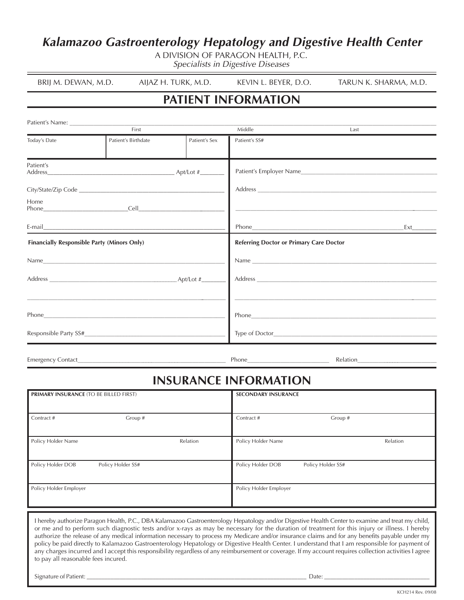# **Kalamazoo Gastroenterology Hepatology and Digestive Health Center Kalamazoo Gastroenterology Hepatology and Digestive Health Center**

A DIVISION OF PARAGON HEALTH, P.C. A DIVISION OF PARAGON HEALTH, P.C. Specialists in Digestive Diseases Specialists in Digestive Diseases

| BRIJ M. DEWAN, M.D. | AIJAZ H. TURK, M.D. | KEVIN L. BEYER, D.O. | tarun k. sharma, m.d. |
|---------------------|---------------------|----------------------|-----------------------|

# **PATIENT INFORMATION PATIENT INFORMATION**

|                                             | Patient's Name: 2008 and 2008 and 2008 and 2008 and 2008 and 2008 and 2008 and 2008 and 2008 and 2008 and 2008                                                                                                                                                                                                                                                                                               |               |                                                |                                                                                                                                                                                                                                |  |  |  |
|---------------------------------------------|--------------------------------------------------------------------------------------------------------------------------------------------------------------------------------------------------------------------------------------------------------------------------------------------------------------------------------------------------------------------------------------------------------------|---------------|------------------------------------------------|--------------------------------------------------------------------------------------------------------------------------------------------------------------------------------------------------------------------------------|--|--|--|
|                                             | First                                                                                                                                                                                                                                                                                                                                                                                                        |               | Middle                                         | Last                                                                                                                                                                                                                           |  |  |  |
| Today's Date                                | Patient's Birthdate                                                                                                                                                                                                                                                                                                                                                                                          | Patient's Sex | Patient's SS#                                  |                                                                                                                                                                                                                                |  |  |  |
| Patient's                                   |                                                                                                                                                                                                                                                                                                                                                                                                              |               |                                                |                                                                                                                                                                                                                                |  |  |  |
|                                             |                                                                                                                                                                                                                                                                                                                                                                                                              |               |                                                |                                                                                                                                                                                                                                |  |  |  |
| Home                                        |                                                                                                                                                                                                                                                                                                                                                                                                              |               |                                                |                                                                                                                                                                                                                                |  |  |  |
|                                             | E-mail $\frac{1}{\sqrt{1-\frac{1}{2}}\sqrt{1-\frac{1}{2}}\sqrt{1-\frac{1}{2}}\sqrt{1-\frac{1}{2}}\sqrt{1-\frac{1}{2}}\sqrt{1-\frac{1}{2}}\sqrt{1-\frac{1}{2}}\sqrt{1-\frac{1}{2}}\sqrt{1-\frac{1}{2}}\sqrt{1-\frac{1}{2}}\sqrt{1-\frac{1}{2}}\sqrt{1-\frac{1}{2}}\sqrt{1-\frac{1}{2}}\sqrt{1-\frac{1}{2}}\sqrt{1-\frac{1}{2}}\sqrt{1-\frac{1}{2}}\sqrt{1-\frac{1}{2}}\sqrt{1-\frac{1}{2}}\sqrt{1-\frac{1}{2$ |               |                                                |                                                                                                                                                                                                                                |  |  |  |
| Financially Responsible Party (Minors Only) |                                                                                                                                                                                                                                                                                                                                                                                                              |               | <b>Referring Doctor or Primary Care Doctor</b> |                                                                                                                                                                                                                                |  |  |  |
|                                             |                                                                                                                                                                                                                                                                                                                                                                                                              |               |                                                | Name and the state of the state of the state of the state of the state of the state of the state of the state of the state of the state of the state of the state of the state of the state of the state of the state of the s |  |  |  |
|                                             |                                                                                                                                                                                                                                                                                                                                                                                                              |               |                                                |                                                                                                                                                                                                                                |  |  |  |
|                                             |                                                                                                                                                                                                                                                                                                                                                                                                              |               |                                                |                                                                                                                                                                                                                                |  |  |  |
|                                             |                                                                                                                                                                                                                                                                                                                                                                                                              |               |                                                |                                                                                                                                                                                                                                |  |  |  |
|                                             |                                                                                                                                                                                                                                                                                                                                                                                                              |               |                                                |                                                                                                                                                                                                                                |  |  |  |
|                                             |                                                                                                                                                                                                                                                                                                                                                                                                              |               |                                                |                                                                                                                                                                                                                                |  |  |  |

Emergency Contact **Emergency Contact Emergency Contact Executive Contact Executive Contact Executive Contact** 

# **INSURANCE INFORMATION**

| <b>PRIMARY INSURANCE (TO BE BILLED FIRST)</b> |                   |          | <b>SECONDARY INSURANCE</b> |                   |          |
|-----------------------------------------------|-------------------|----------|----------------------------|-------------------|----------|
| Contract #                                    | Group #           |          | Contract #                 | Group #           |          |
| Policy Holder Name                            |                   | Relation | Policy Holder Name         |                   | Relation |
| Policy Holder DOB                             | Policy Holder SS# |          | Policy Holder DOB          | Policy Holder SS# |          |
| Policy Holder Employer                        |                   |          | Policy Holder Employer     |                   |          |

I hereby authorize Paragon Health, P.C., DBA Kalamazoo Gastroenterology Hepatology and/or Digestive Health Center to examine and treat my child, or me and to perform such diagnostic tests and/or x-rays as may be necessary for the duration of treatment for this injury or illness. I hereby authorize the release of any medical information necessary to process my Medicare and/or insurance claims and for any benefits payable under my policy be paid directly to Kalamazoo Gastroenterology Hepatology or Digestive Health Center. I understand that I am responsible for payment of any charges incurred and I accept this responsibility regardless of any reimbursement or coverage. If my account requires collection activities I agree to pay all reasonable fees incured.

Signature of Patient: \_\_\_\_\_\_\_\_\_\_\_\_\_\_\_\_\_\_\_\_\_\_\_\_\_\_\_\_\_\_\_\_\_\_\_\_\_\_\_\_\_\_\_\_\_\_\_\_\_\_\_\_\_\_\_\_\_\_\_\_\_\_\_\_\_\_\_\_\_\_\_\_ Date: \_\_\_\_\_\_\_\_\_\_\_\_\_\_\_\_\_\_\_\_\_\_\_\_\_\_\_\_\_\_\_\_\_\_\_\_\_\_\_ Signature of Patient: \_\_\_\_\_\_\_\_\_\_\_\_\_\_\_\_\_\_\_\_\_\_\_\_\_\_\_\_\_\_\_\_\_\_\_\_\_\_\_\_\_\_\_\_\_\_\_\_\_\_\_\_\_\_\_\_\_\_\_\_\_\_\_\_\_\_\_\_\_\_\_\_\_ Date: \_\_\_\_\_\_\_\_\_\_\_\_\_\_\_\_\_\_\_\_\_\_\_\_\_\_\_\_\_\_\_\_\_\_\_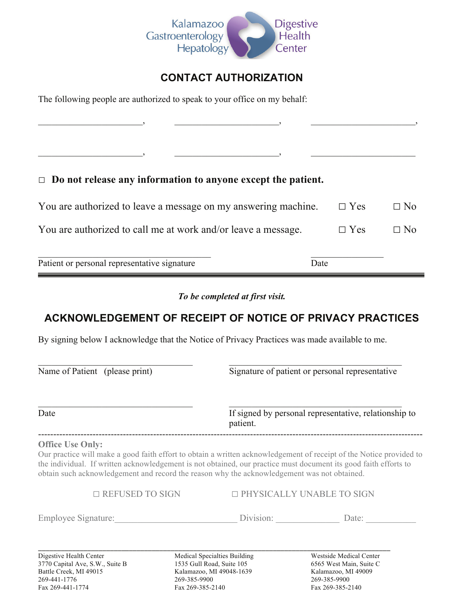

### **CONTACT AUTHORIZATION**

\_\_\_\_\_\_\_\_\_\_\_\_\_\_\_\_\_\_\_\_\_\_\_, \_\_\_\_\_\_\_\_\_\_\_\_\_\_\_\_\_\_\_\_\_\_\_, \_\_\_\_\_\_\_\_\_\_\_\_\_\_\_\_\_\_\_\_\_\_\_,

 $\qquad \qquad \qquad$ 

The following people are authorized to speak to your office on my behalf:

### □ **Do not release any information to anyone except the patient.**

| You are authorized to leave a message on my answering machine. | $\Box$ Yes | $\Box$ No |
|----------------------------------------------------------------|------------|-----------|
| You are authorized to call me at work and/or leave a message.  | $\Box$ Yes | $\Box$ No |
| Patient or personal representative signature                   | Date       |           |

*To be completed at first visit.* 

## **ACKNOWLEDGEMENT OF RECEIPT OF NOTICE OF PRIVACY PRACTICES**

By signing below I acknowledge that the Notice of Privacy Practices was made available to me.

| Name of Patient (please print)                                                                                         |                                           | Signature of patient or personal representative<br>If signed by personal representative, relationship to<br>patient. |                                                                                                                                                                                                                                         |  |  |  |
|------------------------------------------------------------------------------------------------------------------------|-------------------------------------------|----------------------------------------------------------------------------------------------------------------------|-----------------------------------------------------------------------------------------------------------------------------------------------------------------------------------------------------------------------------------------|--|--|--|
| Date                                                                                                                   |                                           |                                                                                                                      |                                                                                                                                                                                                                                         |  |  |  |
| <b>Office Use Only:</b><br>obtain such acknowledgement and record the reason why the acknowledgement was not obtained. |                                           |                                                                                                                      | Our practice will make a good faith effort to obtain a written acknowledgement of receipt of the Notice provided to<br>the individual. If written acknowledgement is not obtained, our practice must document its good faith efforts to |  |  |  |
| $\Box$ REFUSED TO SIGN                                                                                                 |                                           |                                                                                                                      | □ PHYSICALLY UNABLE TO SIGN                                                                                                                                                                                                             |  |  |  |
| Employee Signature:                                                                                                    |                                           | Division:                                                                                                            | Date:                                                                                                                                                                                                                                   |  |  |  |
| Digestive Health Center<br>3770 Capital Ave, S.W., Suite B<br>Battle Creek, MI 49015<br>269-441-1776                   | 1535 Gull Road, Suite 105<br>269-385-9900 | Medical Specialties Building<br>Kalamazoo, MI 49048-1639                                                             | Westside Medical Center<br>6565 West Main, Suite C<br>Kalamazoo, MI 49009<br>269-385-9900                                                                                                                                               |  |  |  |

Fax 269-441-1774 Fax 269-385-2140 Fax 269-385-2140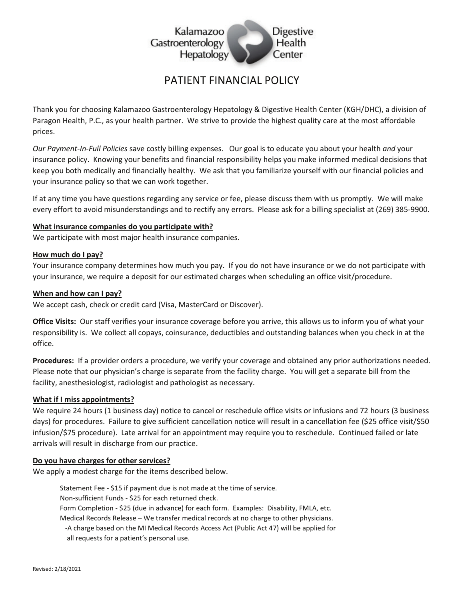

### PATIFNT FINANCIAL POLICY

Thank you for choosing Kalamazoo Gastroenterology Hepatology & Digestive Health Center (KGH/DHC), a division of Paragon Health, P.C., as your health partner. We strive to provide the highest quality care at the most affordable prices.

Our Payment-In-Full Policies save costly billing expenses. Our goal is to educate you about your health and your insurance policy. Knowing your benefits and financial responsibility helps you make informed medical decisions that keep you both medically and financially healthy. We ask that you familiarize yourself with our financial policies and your insurance policy so that we can work together.

If at any time you have questions regarding any service or fee, please discuss them with us promptly. We will make every effort to avoid misunderstandings and to rectify any errors. Please ask for a billing specialist at (269) 385-9900.

#### What insurance companies do you participate with?

We participate with most major health insurance companies.

#### How much do I pay?

Your insurance company determines how much you pay. If you do not have insurance or we do not participate with your insurance, we require a deposit for our estimated charges when scheduling an office visit/procedure.

#### When and how can I pay?

We accept cash, check or credit card (Visa, MasterCard or Discover).

Office Visits: Our staff verifies your insurance coverage before you arrive, this allows us to inform you of what your responsibility is. We collect all copays, coinsurance, deductibles and outstanding balances when you check in at the office.

Procedures: If a provider orders a procedure, we verify your coverage and obtained any prior authorizations needed. Please note that our physician's charge is separate from the facility charge. You will get a separate bill from the facility, anesthesiologist, radiologist and pathologist as necessary.

#### What if I miss appointments?

We require 24 hours (1 business day) notice to cancel or reschedule office visits or infusions and 72 hours (3 business days) for procedures. Failure to give sufficient cancellation notice will result in a cancellation fee (\$25 office visit/\$50 infusion/\$75 procedure). Late arrival for an appointment may require you to reschedule. Continued failed or late arrivals will result in discharge from our practice.

#### Do you have charges for other services?

We apply a modest charge for the items described below.

Statement Fee - \$15 if payment due is not made at the time of service. Non-sufficient Funds - \$25 for each returned check. Form Completion - \$25 (due in advance) for each form. Examples: Disability, FMLA, etc. Medical Records Release - We transfer medical records at no charge to other physicians. -A charge based on the MI Medical Records Access Act (Public Act 47) will be applied for all requests for a patient's personal use.